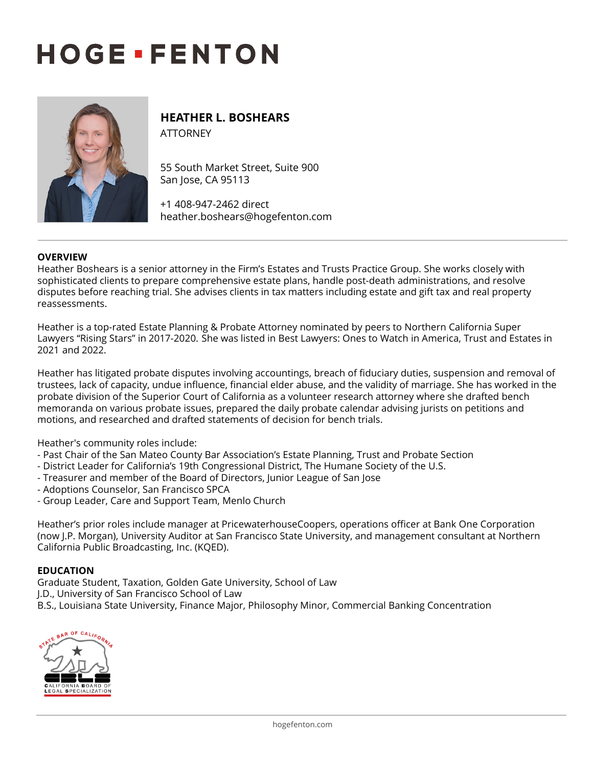# **HOGE · FENTON**



# **HEATHER L. BOSHEARS** ATTORNEY

55 South Market Street, Suite 900 San Jose, CA 95113

+1 408-947-2462 direct heather.boshears@hogefenton.com

### **OVERVIEW**

Heather Boshears is a senior attorney in the Firm's Estates and Trusts Practice Group. She works closely with sophisticated clients to prepare comprehensive estate plans, handle post-death administrations, and resolve disputes before reaching trial. She advises clients in tax matters including estate and gift tax and real property reassessments.

Heather is a top-rated Estate Planning & Probate Attorney nominated by peers to Northern California Super Lawyers "Rising Stars" in 2017-2020. She was listed in Best Lawyers: Ones to Watch in America, Trust and Estates in 2021 and 2022.

Heather has litigated probate disputes involving accountings, breach of fiduciary duties, suspension and removal of trustees, lack of capacity, undue influence, financial elder abuse, and the validity of marriage. She has worked in the probate division of the Superior Court of California as a volunteer research attorney where she drafted bench memoranda on various probate issues, prepared the daily probate calendar advising jurists on petitions and motions, and researched and drafted statements of decision for bench trials.

Heather's community roles include:

- Past Chair of the San Mateo County Bar Association's Estate Planning, Trust and Probate Section
- District Leader for California's 19th Congressional District, The Humane Society of the U.S.
- Treasurer and member of the Board of Directors, Junior League of San Jose
- Adoptions Counselor, San Francisco SPCA
- Group Leader, Care and Support Team, Menlo Church

Heather's prior roles include manager at PricewaterhouseCoopers, operations officer at Bank One Corporation (now J.P. Morgan), University Auditor at San Francisco State University, and management consultant at Northern California Public Broadcasting, Inc. (KQED).

### **EDUCATION**

Graduate Student, Taxation, Golden Gate University, School of Law J.D., University of San Francisco School of Law B.S., Louisiana State University, Finance Major, Philosophy Minor, Commercial Banking Concentration